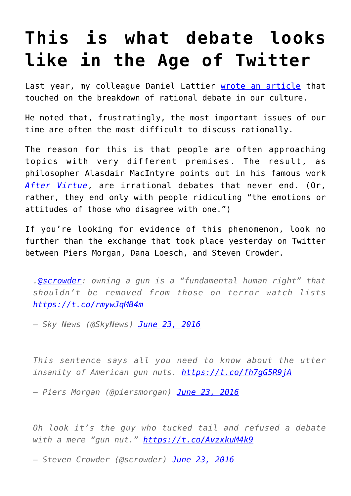## **[This is what debate looks](https://intellectualtakeout.org/2016/06/this-is-what-debate-looks-like-in-the-age-of-twitter/) [like in the Age of Twitter](https://intellectualtakeout.org/2016/06/this-is-what-debate-looks-like-in-the-age-of-twitter/)**

Last year, my colleague Daniel Lattier [wrote an article](https://www.intellectualtakeout.org/blog/why-it%E2%80%99s-almost-impossible-rationally-argue-people-today) that touched on the breakdown of rational debate in our culture.

He noted that, frustratingly, the most important issues of our time are often the most difficult to discuss rationally.

The reason for this is that people are often approaching topics with very different premises. The result, as philosopher Alasdair MacIntyre points out in his famous work *[After Virtue](http://amzn.to/28SEpCB)*, are irrational debates that never end. (Or, rather, they end only with people ridiculing "the emotions or attitudes of those who disagree with one.")

If you're looking for evidence of this phenomenon, look no further than the exchange that took place yesterday on Twitter between Piers Morgan, Dana Loesch, and Steven Crowder.

*[.@scrowder](https://twitter.com/scrowder): owning a gun is a "fundamental human right" that shouldn't be removed from those on terror watch lists <https://t.co/rmywJqMB4m>*

*— Sky News (@SkyNews) [June 23, 2016](https://twitter.com/SkyNews/status/746052520670199808)*

*This sentence says all you need to know about the utter insanity of American gun nuts. <https://t.co/fh7gG5R9jA>*

*— Piers Morgan (@piersmorgan) [June 23, 2016](https://twitter.com/piersmorgan/status/746070135589453824)*

*Oh look it's the guy who tucked tail and refused a debate with a mere "gun nut." <https://t.co/AvzxkuM4k9>*

*— Steven Crowder (@scrowder) [June 23, 2016](https://twitter.com/scrowder/status/746072856518397952)*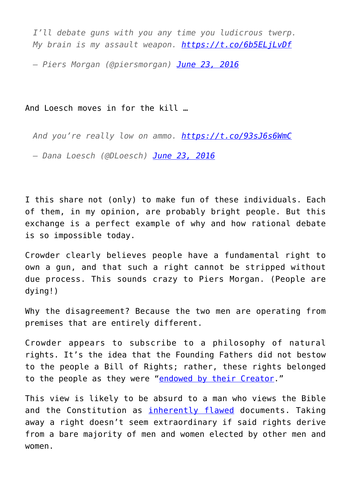*I'll debate guns with you any time you ludicrous twerp. My brain is my assault weapon. <https://t.co/6b5ELjLvDf>*

*— Piers Morgan (@piersmorgan) [June 23, 2016](https://twitter.com/piersmorgan/status/746074674635870208)*

And Loesch moves in for the kill …

*And you're really low on ammo. <https://t.co/93sJ6s6WmC>*

*— Dana Loesch (@DLoesch) [June 23, 2016](https://twitter.com/DLoesch/status/746087853889814528)*

I this share not (only) to make fun of these individuals. Each of them, in my opinion, are probably bright people. But this exchange is a perfect example of why and how rational debate is so impossible today.

Crowder clearly believes people have a fundamental right to own a gun, and that such a right cannot be stripped without due process. This sounds crazy to Piers Morgan. (People are dying!)

Why the disagreement? Because the two men are operating from premises that are entirely different.

Crowder appears to subscribe to a philosophy of natural rights. It's the idea that the Founding Fathers did not bestow to the people a Bill of Rights; rather, these rights belonged to the people as they were ["endowed by their Creator](http://www.ushistory.org/declaration/document/)."

This view is likely to be absurd to a man who views the Bible and the Constitution as [inherently flawed](http://www.mediaite.com/tv/piers-morgan-bible-and-constitution-inherently-flawed-time-for-an-amendment-to-bible/) documents. Taking away a right doesn't seem extraordinary if said rights derive from a bare majority of men and women elected by other men and women.